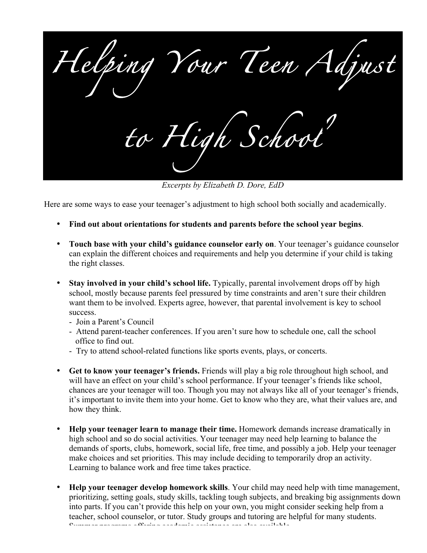*Helping Your Teen Adjust to High School* 

*Excerpts by Elizabeth D. Dore, EdD*

Here are some ways to ease your teenager's adjustment to high school both socially and academically.

- **Find out about orientations for students and parents before the school year begins**.
- **Touch base with your child's guidance counselor early on**. Your teenager's guidance counselor can explain the different choices and requirements and help you determine if your child is taking the right classes.
- **Stay involved in your child's school life.** Typically, parental involvement drops off by high school, mostly because parents feel pressured by time constraints and aren't sure their children want them to be involved. Experts agree, however, that parental involvement is key to school success.
	- Join a Parent's Council
	- Attend parent-teacher conferences. If you aren't sure how to schedule one, call the school office to find out.
	- Try to attend school-related functions like sports events, plays, or concerts.
- **Get to know your teenager's friends.** Friends will play a big role throughout high school, and will have an effect on your child's school performance. If your teenager's friends like school, chances are your teenager will too. Though you may not always like all of your teenager's friends, it's important to invite them into your home. Get to know who they are, what their values are, and how they think.
- **Help your teenager learn to manage their time.** Homework demands increase dramatically in high school and so do social activities. Your teenager may need help learning to balance the demands of sports, clubs, homework, social life, free time, and possibly a job. Help your teenager make choices and set priorities. This may include deciding to temporarily drop an activity. Learning to balance work and free time takes practice.
- **Help your teenager develop homework skills**. Your child may need help with time management, prioritizing, setting goals, study skills, tackling tough subjects, and breaking big assignments down into parts. If you can't provide this help on your own, you might consider seeking help from a teacher, school counselor, or tutor. Study groups and tutoring are helpful for many students. Summer programs offering academic assistance are also available.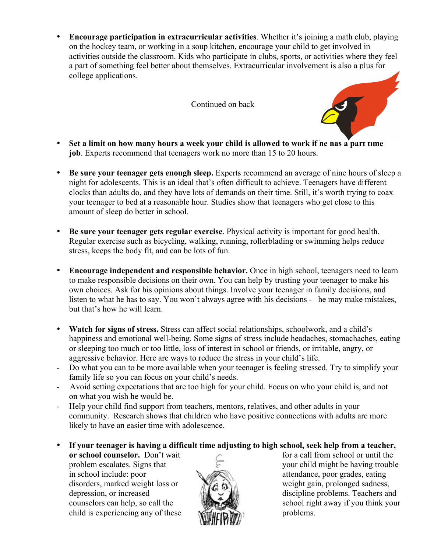• **Encourage participation in extracurricular activities**. Whether it's joining a math club, playing on the hockey team, or working in a soup kitchen, encourage your child to get involved in activities outside the classroom. Kids who participate in clubs, sports, or activities where they feel a part of something feel better about themselves. Extracurricular involvement is also a plus for college applications.

Continued on back



- **Set a limit on how many hours a week your child is allowed to work if he has a part time job**. Experts recommend that teenagers work no more than 15 to 20 hours.
- **Be sure your teenager gets enough sleep.** Experts recommend an average of nine hours of sleep a night for adolescents. This is an ideal that's often difficult to achieve. Teenagers have different clocks than adults do, and they have lots of demands on their time. Still, it's worth trying to coax your teenager to bed at a reasonable hour. Studies show that teenagers who get close to this amount of sleep do better in school.
- **Be sure your teenager gets regular exercise**. Physical activity is important for good health. Regular exercise such as bicycling, walking, running, rollerblading or swimming helps reduce stress, keeps the body fit, and can be lots of fun.
- **Encourage independent and responsible behavior.** Once in high school, teenagers need to learn to make responsible decisions on their own. You can help by trusting your teenager to make his own choices. Ask for his opinions about things. Involve your teenager in family decisions, and listen to what he has to say. You won't always agree with his decisions -- he may make mistakes, but that's how he will learn.
- **Watch for signs of stress.** Stress can affect social relationships, schoolwork, and a child's happiness and emotional well-being. Some signs of stress include headaches, stomachaches, eating or sleeping too much or too little, loss of interest in school or friends, or irritable, angry, or aggressive behavior. Here are ways to reduce the stress in your child's life.
- Do what you can to be more available when your teenager is feeling stressed. Try to simplify your family life so you can focus on your child's needs.
- Avoid setting expectations that are too high for your child. Focus on who your child is, and not on what you wish he would be.
- Help your child find support from teachers, mentors, relatives, and other adults in your community. Research shows that children who have positive connections with adults are more likely to have an easier time with adolescence.
- **If your teenager is having a difficult time adjusting to high school, seek help from a teacher, or school counselor.** Don't wait
	- **or school counselor.** Don't wait in school include: poor attendance, poor grades, eating disorders, marked weight loss or **WARN** weight gain, prolonged sadness, child is experiencing any of these  $\mathbb{R}$   $\mathbb{R}$   $\mathbb{R}$   $\mathbb{R}$  problems.



problem escalates. Signs that  $\epsilon$  your child might be having trouble depression, or increased  $\mathbb{A}$  discipline problems. Teachers and counselors can help, so call the school right away if you think your